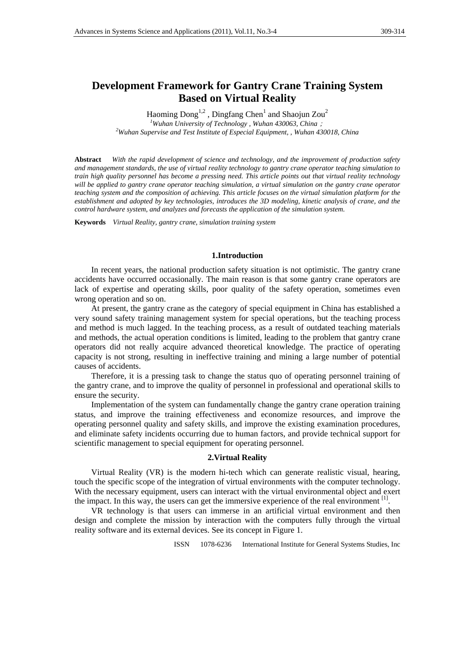# **Development Framework for Gantry Crane Training System Based on Virtual Reality**

Haoming  $\text{Dong}^{1,2}$ ,  $\text{Dingfang Chen}^1$  and Shaojun Zou<sup>2</sup>

*1 Wuhan University of Technology , Wuhan 430063, China*;

*2 Wuhan Supervise and Test Institute of Especial Equipment, , Wuhan 430018, China* 

**Abstract** *With the rapid development of science and technology, and the improvement of production safety and management standards, the use of virtual reality technology to gantry crane operator teaching simulation to train high quality personnel has become a pressing need. This article points out that virtual reality technology will be applied to gantry crane operator teaching simulation, a virtual simulation on the gantry crane operator teaching system and the composition of achieving. This article focuses on the virtual simulation platform for the establishment and adopted by key technologies, introduces the 3D modeling, kinetic analysis of crane, and the control hardware system, and analyzes and forecasts the application of the simulation system.* 

**Keywords** *Virtual Reality, gantry crane, simulation training system*

#### **1.Introduction**

In recent years, the national production safety situation is not optimistic. The gantry crane accidents have occurred occasionally. The main reason is that some gantry crane operators are lack of expertise and operating skills, poor quality of the safety operation, sometimes even wrong operation and so on.

At present, the gantry crane as the category of special equipment in China has established a very sound safety training management system for special operations, but the teaching process and method is much lagged. In the teaching process, as a result of outdated teaching materials and methods, the actual operation conditions is limited, leading to the problem that gantry crane operators did not really acquire advanced theoretical knowledge. The practice of operating capacity is not strong, resulting in ineffective training and mining a large number of potential causes of accidents.

Therefore, it is a pressing task to change the status quo of operating personnel training of the gantry crane, and to improve the quality of personnel in professional and operational skills to ensure the security.

Implementation of the system can fundamentally change the gantry crane operation training status, and improve the training effectiveness and economize resources, and improve the operating personnel quality and safety skills, and improve the existing examination procedures, and eliminate safety incidents occurring due to human factors, and provide technical support for scientific management to special equipment for operating personnel.

### **2.Virtual Reality**

Virtual Reality (VR) is the modern hi-tech which can generate realistic visual, hearing, touch the specific scope of the integration of virtual environments with the computer technology. With the necessary equipment, users can interact with the virtual environmental object and exert the impact. In this way, the users can get the immersive experience of the real environment  $<sup>[1]</sup>$ .</sup>

VR technology is that users can immerse in an artificial virtual environment and then design and complete the mission by interaction with the computers fully through the virtual reality software and its external devices. See its concept in Figure 1.

ISSN 1078-6236 International Institute for General Systems Studies, Inc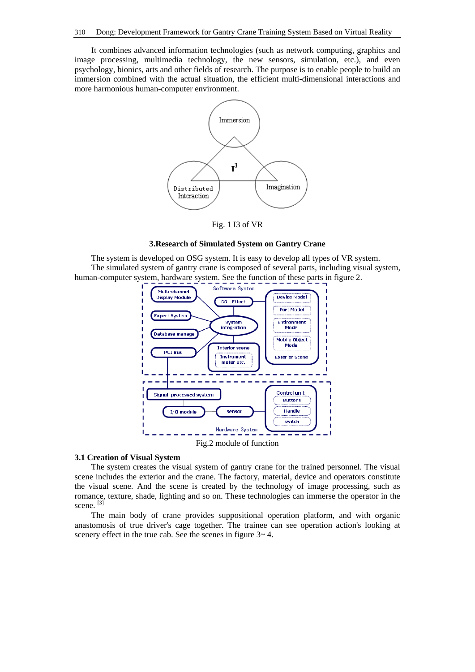It combines advanced information technologies (such as network computing, graphics and image processing, multimedia technology, the new sensors, simulation, etc.), and even psychology, bionics, arts and other fields of research. The purpose is to enable people to build an immersion combined with the actual situation, the efficient multi-dimensional interactions and more harmonious human-computer environment.



Fig. 1 I3 of VR

# **3.Research of Simulated System on Gantry Crane**

The system is developed on OSG system. It is easy to develop all types of VR system. The simulated system of gantry crane is composed of several parts, including visual system, human-computer system, hardware system. See the function of these parts in figure 2.



# **3.1 Creation of Visual System**

The system creates the visual system of gantry crane for the trained personnel. The visual scene includes the exterior and the crane. The factory, material, device and operators constitute the visual scene. And the scene is created by the technology of image processing, such as romance, texture, shade, lighting and so on. These technologies can immerse the operator in the scene.<sup>[3]</sup>

The main body of crane provides suppositional operation platform, and with organic anastomosis of true driver's cage together. The trainee can see operation action's looking at scenery effect in the true cab. See the scenes in figure  $3-4$ .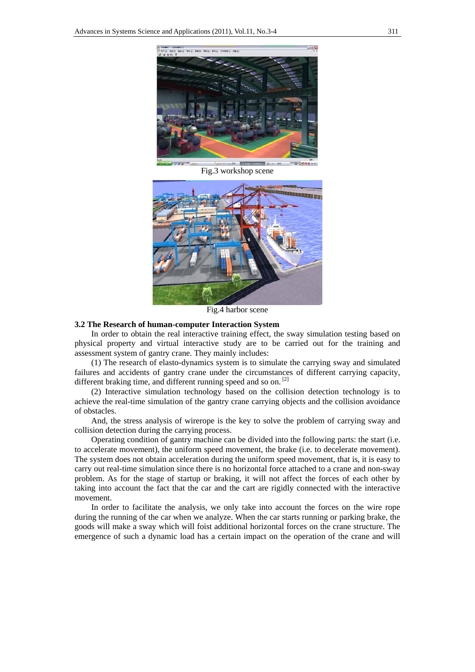

Fig.3 workshop scene



Fig.4 harbor scene

#### **3.2 The Research of human-computer Interaction System**

In order to obtain the real interactive training effect, the sway simulation testing based on physical property and virtual interactive study are to be carried out for the training and assessment system of gantry crane. They mainly includes:

(1) The research of elasto-dynamics system is to simulate the carrying sway and simulated failures and accidents of gantry crane under the circumstances of different carrying capacity, different braking time, and different running speed and so on.<sup>[2]</sup>

(2) Interactive simulation technology based on the collision detection technology is to achieve the real-time simulation of the gantry crane carrying objects and the collision avoidance of obstacles.

And, the stress analysis of wirerope is the key to solve the problem of carrying sway and collision detection during the carrying process.

Operating condition of gantry machine can be divided into the following parts: the start (i.e. to accelerate movement), the uniform speed movement, the brake (i.e. to decelerate movement). The system does not obtain acceleration during the uniform speed movement, that is, it is easy to carry out real-time simulation since there is no horizontal force attached to a crane and non-sway problem. As for the stage of startup or braking, it will not affect the forces of each other by taking into account the fact that the car and the cart are rigidly connected with the interactive movement.

In order to facilitate the analysis, we only take into account the forces on the wire rope during the running of the car when we analyze. When the car starts running or parking brake, the goods will make a sway which will foist additional horizontal forces on the crane structure. The emergence of such a dynamic load has a certain impact on the operation of the crane and will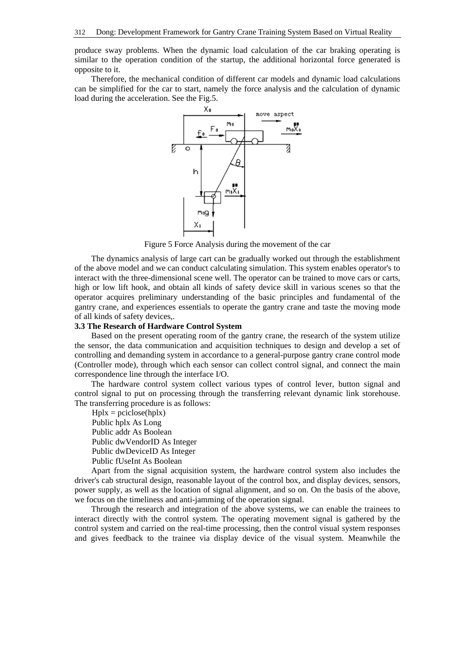produce sway problems. When the dynamic load calculation of the car braking operating is similar to the operation condition of the startup, the additional horizontal force generated is opposite to it.

Therefore, the mechanical condition of different car models and dynamic load calculations can be simplified for the car to start, namely the force analysis and the calculation of dynamic load during the acceleration. See the Fig.5.



Figure 5 Force Analysis during the movement of the car

The dynamics analysis of large cart can be gradually worked out through the establishment of the above model and we can conduct calculating simulation. This system enables operator's to interact with the three-dimensional scene well. The operator can be trained to move cars or carts, high or low lift hook, and obtain all kinds of safety device skill in various scenes so that the operator acquires preliminary understanding of the basic principles and fundamental of the gantry crane, and experiences essentials to operate the gantry crane and taste the moving mode of all kinds of safety devices,.

# **3.3 The Research of Hardware Control System**

Based on the present operating room of the gantry crane, the research of the system utilize the sensor, the data communication and acquisition techniques to design and develop a set of controlling and demanding system in accordance to a general-purpose gantry crane control mode (Controller mode), through which each sensor can collect control signal, and connect the main correspondence line through the interface I/O.

The hardware control system collect various types of control lever, button signal and control signal to put on processing through the transferring relevant dynamic link storehouse. The transferring procedure is as follows:

 $H$ plx = pciclose(hplx) Public hplx As Long Public addr As Boolean Public dwVendorID As Integer Public dwDeviceID As Integer Public fUseInt As Boolean

Apart from the signal acquisition system, the hardware control system also includes the driver's cab structural design, reasonable layout of the control box, and display devices, sensors, power supply, as well as the location of signal alignment, and so on. On the basis of the above, we focus on the timeliness and anti-jamming of the operation signal.

Through the research and integration of the above systems, we can enable the trainees to interact directly with the control system. The operating movement signal is gathered by the control system and carried on the real-time processing, then the control visual system responses and gives feedback to the trainee via display device of the visual system. Meanwhile the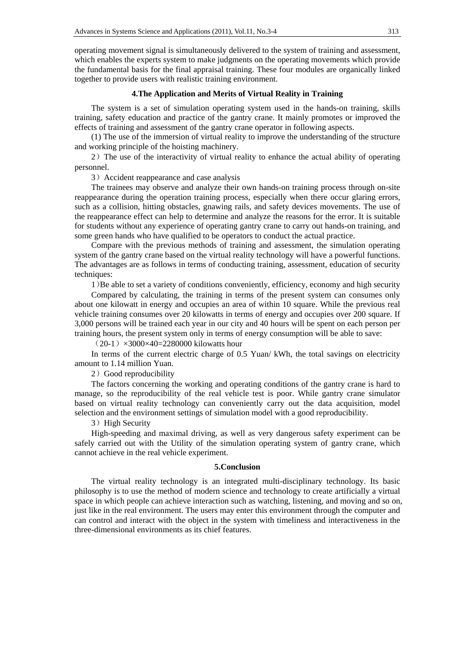operating movement signal is simultaneously delivered to the system of training and assessment, which enables the experts system to make judgments on the operating movements which provide the fundamental basis for the final appraisal training. These four modules are organically linked together to provide users with realistic training environment.

### **4.The Application and Merits of Virtual Reality in Training**

The system is a set of simulation operating system used in the hands-on training, skills training, safety education and practice of the gantry crane. It mainly promotes or improved the effects of training and assessment of the gantry crane operator in following aspects.

(1) The use of the immersion of virtual reality to improve the understanding of the structure and working principle of the hoisting machinery.

2)The use of the interactivity of virtual reality to enhance the actual ability of operating personnel.

3) Accident reappearance and case analysis

The trainees may observe and analyze their own hands-on training process through on-site reappearance during the operation training process, especially when there occur glaring errors, such as a collision, hitting obstacles, gnawing rails, and safety devices movements. The use of the reappearance effect can help to determine and analyze the reasons for the error. It is suitable for students without any experience of operating gantry crane to carry out hands-on training, and some green hands who have qualified to be operators to conduct the actual practice.

Compare with the previous methods of training and assessment, the simulation operating system of the gantry crane based on the virtual reality technology will have a powerful functions. The advantages are as follows in terms of conducting training, assessment, education of security techniques:

1)Be able to set a variety of conditions conveniently, efficiency, economy and high security

Compared by calculating, the training in terms of the present system can consumes only about one kilowatt in energy and occupies an area of within 10 square. While the previous real vehicle training consumes over 20 kilowatts in terms of energy and occupies over 200 square. If 3,000 persons will be trained each year in our city and 40 hours will be spent on each person per training hours, the present system only in terms of energy consumption will be able to save:

 $(20-1) \times 3000 \times 40 = 2280000$  kilowatts hour

In terms of the current electric charge of 0.5 Yuan/ kWh, the total savings on electricity amount to 1.14 million Yuan.

2) Good reproducibility

The factors concerning the working and operating conditions of the gantry crane is hard to manage, so the reproducibility of the real vehicle test is poor. While gantry crane simulator based on virtual reality technology can conveniently carry out the data acquisition, model selection and the environment settings of simulation model with a good reproducibility.

## 3) High Security

High-speeding and maximal driving, as well as very dangerous safety experiment can be safely carried out with the Utility of the simulation operating system of gantry crane, which cannot achieve in the real vehicle experiment.

# **5.Conclusion**

The virtual reality technology is an integrated multi-disciplinary technology. Its basic philosophy is to use the method of modern science and technology to create artificially a virtual space in which people can achieve interaction such as watching, listening, and moving and so on, just like in the real environment. The users may enter this environment through the computer and can control and interact with the object in the system with timeliness and interactiveness in the three-dimensional environments as its chief features.